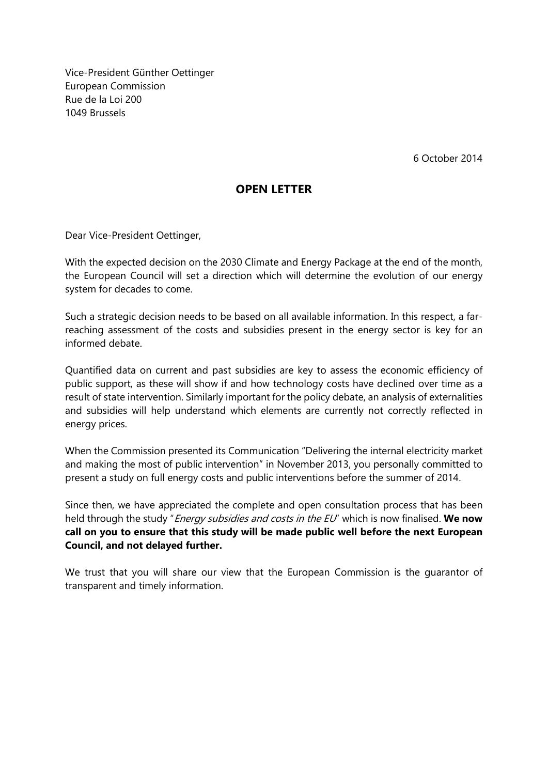Vice-President Günther Oettinger European Commission Rue de la Loi 200 1049 Brussels

6 October 2014

## **OPEN LETTER**

Dear Vice-President Oettinger,

With the expected decision on the 2030 Climate and Energy Package at the end of the month, the European Council will set a direction which will determine the evolution of our energy system for decades to come.

Such a strategic decision needs to be based on all available information. In this respect, a farreaching assessment of the costs and subsidies present in the energy sector is key for an informed debate.

Quantified data on current and past subsidies are key to assess the economic efficiency of public support, as these will show if and how technology costs have declined over time as a result of state intervention. Similarly important for the policy debate, an analysis of externalities and subsidies will help understand which elements are currently not correctly reflected in energy prices.

When the Commission presented its Communication "Delivering the internal electricity market and making the most of public intervention" in November 2013, you personally committed to present a study on full energy costs and public interventions before the summer of 2014.

Since then, we have appreciated the complete and open consultation process that has been held through the study "Energy subsidies and costs in the EU" which is now finalised. **We now call on you to ensure that this study will be made public well before the next European Council, and not delayed further.**

We trust that you will share our view that the European Commission is the guarantor of transparent and timely information.